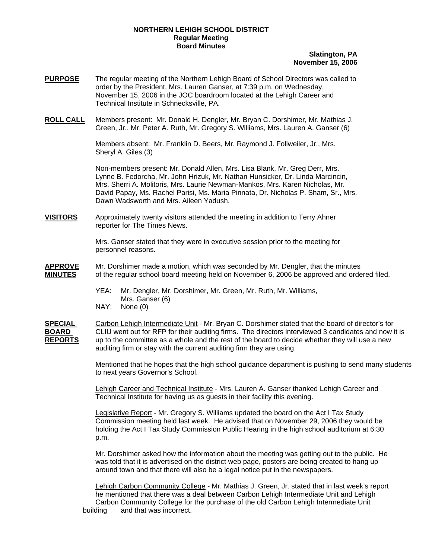#### **NORTHERN LEHIGH SCHOOL DISTRICT Regular Meeting Board Minutes**

## **Slatington, PA November 15, 2006**

- **PURPOSE** The regular meeting of the Northern Lehigh Board of School Directors was called to order by the President, Mrs. Lauren Ganser, at 7:39 p.m. on Wednesday, November 15, 2006 in the JOC boardroom located at the Lehigh Career and Technical Institute in Schnecksville, PA.
- **ROLL CALL** Members present: Mr. Donald H. Dengler, Mr. Bryan C. Dorshimer, Mr. Mathias J. Green, Jr., Mr. Peter A. Ruth, Mr. Gregory S. Williams, Mrs. Lauren A. Ganser (6)

 Members absent: Mr. Franklin D. Beers, Mr. Raymond J. Follweiler, Jr., Mrs. Sheryl A. Giles (3)

Non-members present: Mr. Donald Allen, Mrs. Lisa Blank, Mr. Greg Derr, Mrs. Lynne B. Fedorcha, Mr. John Hrizuk, Mr. Nathan Hunsicker, Dr. Linda Marcincin, Mrs. Sherri A. Molitoris, Mrs. Laurie Newman-Mankos, Mrs. Karen Nicholas, Mr. David Papay, Ms. Rachel Parisi, Ms. Maria Pinnata, Dr. Nicholas P. Sham, Sr., Mrs. Dawn Wadsworth and Mrs. Aileen Yadush.

**VISITORS** Approximately twenty visitors attended the meeting in addition to Terry Ahner reporter for The Times News.

> Mrs. Ganser stated that they were in executive session prior to the meeting for personnel reasons.

- **APPROVE** Mr. Dorshimer made a motion, which was seconded by Mr. Dengler, that the minutes **MINUTES** of the regular school board meeting held on November 6, 2006 be approved and ordered filed.
	- YEA: Mr. Dengler, Mr. Dorshimer, Mr. Green, Mr. Ruth, Mr. Williams, Mrs. Ganser (6) NAY: None (0)

**SPECIAL** Carbon Lehigh Intermediate Unit - Mr. Bryan C. Dorshimer stated that the board of director's for **BOARD** CLIU went out for RFP for their auditing firms. The directors interviewed 3 candidates and now it is **REPORTS** up to the committee as a whole and the rest of the board to decide whether they will use a new auditing firm or stay with the current auditing firm they are using.

> Mentioned that he hopes that the high school guidance department is pushing to send many students to next years Governor's School.

Lehigh Career and Technical Institute - Mrs. Lauren A. Ganser thanked Lehigh Career and Technical Institute for having us as guests in their facility this evening.

Legislative Report - Mr. Gregory S. Williams updated the board on the Act I Tax Study Commission meeting held last week. He advised that on November 29, 2006 they would be holding the Act I Tax Study Commission Public Hearing in the high school auditorium at 6:30 p.m.

 Mr. Dorshimer asked how the information about the meeting was getting out to the public. He was told that it is advertised on the district web page, posters are being created to hang up around town and that there will also be a legal notice put in the newspapers.

Lehigh Carbon Community College - Mr. Mathias J. Green, Jr. stated that in last week's report he mentioned that there was a deal between Carbon Lehigh Intermediate Unit and Lehigh Carbon Community College for the purchase of the old Carbon Lehigh Intermediate Unit building and that was incorrect.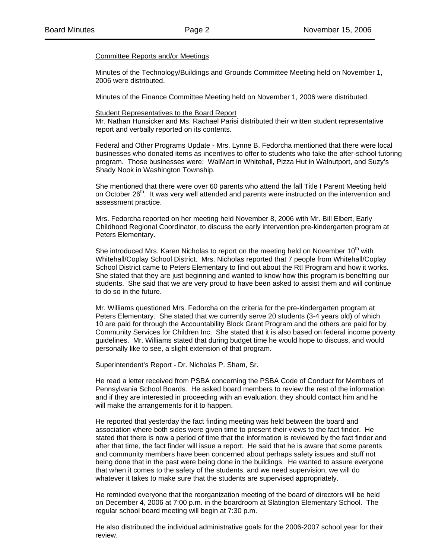#### Committee Reports and/or Meetings

Minutes of the Technology/Buildings and Grounds Committee Meeting held on November 1, 2006 were distributed.

Minutes of the Finance Committee Meeting held on November 1, 2006 were distributed.

#### Student Representatives to the Board Report

 Mr. Nathan Hunsicker and Ms. Rachael Parisi distributed their written student representative report and verbally reported on its contents.

Federal and Other Programs Update - Mrs. Lynne B. Fedorcha mentioned that there were local businesses who donated items as incentives to offer to students who take the after-school tutoring program. Those businesses were: WalMart in Whitehall, Pizza Hut in Walnutport, and Suzy's Shady Nook in Washington Township.

 She mentioned that there were over 60 parents who attend the fall Title I Parent Meeting held on October 26<sup>th</sup>. It was very well attended and parents were instructed on the intervention and assessment practice.

 Mrs. Fedorcha reported on her meeting held November 8, 2006 with Mr. Bill Elbert, Early Childhood Regional Coordinator, to discuss the early intervention pre-kindergarten program at Peters Elementary.

She introduced Mrs. Karen Nicholas to report on the meeting held on November 10<sup>th</sup> with Whitehall/Coplay School District. Mrs. Nicholas reported that 7 people from Whitehall/Coplay School District came to Peters Elementary to find out about the RtI Program and how it works. She stated that they are just beginning and wanted to know how this program is benefiting our students. She said that we are very proud to have been asked to assist them and will continue to do so in the future.

 Mr. Williams questioned Mrs. Fedorcha on the criteria for the pre-kindergarten program at Peters Elementary. She stated that we currently serve 20 students (3-4 years old) of which 10 are paid for through the Accountability Block Grant Program and the others are paid for by Community Services for Children Inc. She stated that it is also based on federal income poverty guidelines. Mr. Williams stated that during budget time he would hope to discuss, and would personally like to see, a slight extension of that program.

Superintendent's Report - Dr. Nicholas P. Sham, Sr.

He read a letter received from PSBA concerning the PSBA Code of Conduct for Members of Pennsylvania School Boards. He asked board members to review the rest of the information and if they are interested in proceeding with an evaluation, they should contact him and he will make the arrangements for it to happen.

He reported that yesterday the fact finding meeting was held between the board and association where both sides were given time to present their views to the fact finder. He stated that there is now a period of time that the information is reviewed by the fact finder and after that time, the fact finder will issue a report. He said that he is aware that some parents and community members have been concerned about perhaps safety issues and stuff not being done that in the past were being done in the buildings. He wanted to assure everyone that when it comes to the safety of the students, and we need supervision, we will do whatever it takes to make sure that the students are supervised appropriately.

He reminded everyone that the reorganization meeting of the board of directors will be held on December 4, 2006 at 7:00 p.m. in the boardroom at Slatington Elementary School. The regular school board meeting will begin at 7:30 p.m.

He also distributed the individual administrative goals for the 2006-2007 school year for their review.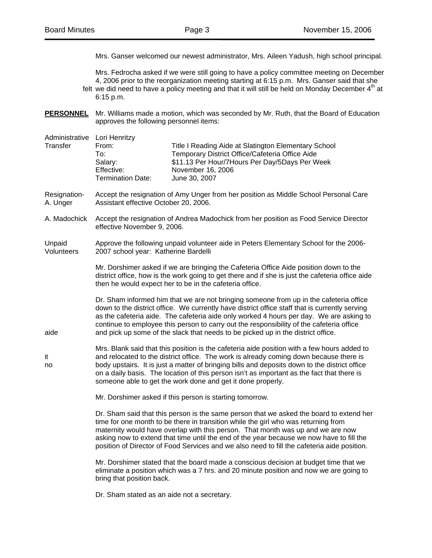Mrs. Ganser welcomed our newest administrator, Mrs. Aileen Yadush, high school principal.

 Mrs. Fedrocha asked if we were still going to have a policy committee meeting on December 4, 2006 prior to the reorganization meeting starting at 6:15 p.m. Mrs. Ganser said that she felt we did need to have a policy meeting and that it will still be held on Monday December  $4<sup>th</sup>$  at 6:15 p.m.

**PERSONNEL** Mr. Williams made a motion, which was seconded by Mr. Ruth, that the Board of Education approves the following personnel items:

Administrative Lori Henritzy

| Transfer | From:             | Title I Reading Aide at Slatington Elementary School |  |
|----------|-------------------|------------------------------------------------------|--|
|          | To∶               | Temporary District Office/Cafeteria Office Aide      |  |
|          | Salarv:           | \$11.13 Per Hour/7 Hours Per Day/5 Days Per Week     |  |
|          | Effective:        | November 16, 2006                                    |  |
|          | Termination Date: | June 30, 2007                                        |  |

- Resignation- Accept the resignation of Amy Unger from her position as Middle School Personal Care A. Unger Assistant effective October 20, 2006.
- A. Madochick Accept the resignation of Andrea Madochick from her position as Food Service Director effective November 9, 2006.
- Unpaid Approve the following unpaid volunteer aide in Peters Elementary School for the 2006- Volunteers 2007 school year: Katherine Bardelli

 Mr. Dorshimer asked if we are bringing the Cafeteria Office Aide position down to the district office, how is the work going to get there and if she is just the cafeteria office aide then he would expect her to be in the cafeteria office.

 Dr. Sham informed him that we are not bringing someone from up in the cafeteria office down to the district office. We currently have district office staff that is currently serving as the cafeteria aide. The cafeteria aide only worked 4 hours per day. We are asking to continue to employee this person to carry out the responsibility of the cafeteria office aide and pick up some of the slack that needs to be picked up in the district office.

 Mrs. Blank said that this position is the cafeteria aide position with a few hours added to it and relocated to the district office. The work is already coming down because there is no body upstairs. It is just a matter of bringing bills and deposits down to the district office on a daily basis. The location of this person isn't as important as the fact that there is someone able to get the work done and get it done properly.

Mr. Dorshimer asked if this person is starting tomorrow.

 Dr. Sham said that this person is the same person that we asked the board to extend her time for one month to be there in transition while the girl who was returning from maternity would have overlap with this person. That month was up and we are now asking now to extend that time until the end of the year because we now have to fill the position of Director of Food Services and we also need to fill the cafeteria aide position.

 Mr. Dorshimer stated that the board made a conscious decision at budget time that we eliminate a position which was a 7 hrs. and 20 minute position and now we are going to bring that position back.

Dr. Sham stated as an aide not a secretary.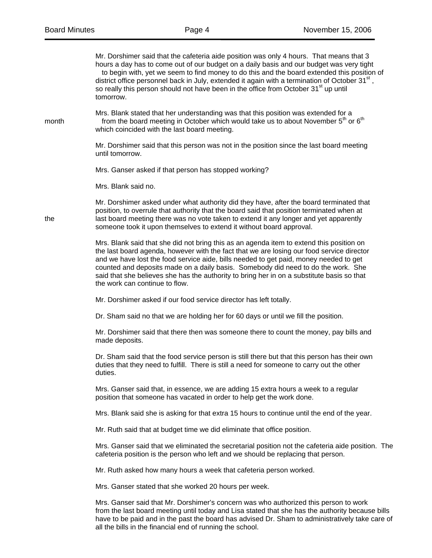|       | Mr. Dorshimer said that the cafeteria aide position was only 4 hours. That means that 3<br>hours a day has to come out of our budget on a daily basis and our budget was very tight<br>to begin with, yet we seem to find money to do this and the board extended this position of<br>district office personnel back in July, extended it again with a termination of October $31st$ ,<br>so really this person should not have been in the office from October 31 <sup>st</sup> up until<br>tomorrow. |
|-------|--------------------------------------------------------------------------------------------------------------------------------------------------------------------------------------------------------------------------------------------------------------------------------------------------------------------------------------------------------------------------------------------------------------------------------------------------------------------------------------------------------|
| month | Mrs. Blank stated that her understanding was that this position was extended for a<br>from the board meeting in October which would take us to about November 5 <sup>th</sup> or 6 <sup>th</sup><br>which coincided with the last board meeting.                                                                                                                                                                                                                                                       |
|       | Mr. Dorshimer said that this person was not in the position since the last board meeting<br>until tomorrow.                                                                                                                                                                                                                                                                                                                                                                                            |
|       | Mrs. Ganser asked if that person has stopped working?                                                                                                                                                                                                                                                                                                                                                                                                                                                  |
|       | Mrs. Blank said no.                                                                                                                                                                                                                                                                                                                                                                                                                                                                                    |
| the   | Mr. Dorshimer asked under what authority did they have, after the board terminated that<br>position, to overrule that authority that the board said that position terminated when at<br>last board meeting there was no vote taken to extend it any longer and yet apparently<br>someone took it upon themselves to extend it without board approval.                                                                                                                                                  |
|       | Mrs. Blank said that she did not bring this as an agenda item to extend this position on<br>the last board agenda, however with the fact that we are losing our food service director<br>and we have lost the food service aide, bills needed to get paid, money needed to get<br>counted and deposits made on a daily basis. Somebody did need to do the work. She<br>said that she believes she has the authority to bring her in on a substitute basis so that<br>the work can continue to flow.    |
|       | Mr. Dorshimer asked if our food service director has left totally.                                                                                                                                                                                                                                                                                                                                                                                                                                     |
|       | Dr. Sham said no that we are holding her for 60 days or until we fill the position.                                                                                                                                                                                                                                                                                                                                                                                                                    |
|       | Mr. Dorshimer said that there then was someone there to count the money, pay bills and<br>made deposits.                                                                                                                                                                                                                                                                                                                                                                                               |
|       | Dr. Sham said that the food service person is still there but that this person has their own<br>duties that they need to fulfill. There is still a need for someone to carry out the other<br>duties.                                                                                                                                                                                                                                                                                                  |
|       | Mrs. Ganser said that, in essence, we are adding 15 extra hours a week to a regular<br>position that someone has vacated in order to help get the work done.                                                                                                                                                                                                                                                                                                                                           |
|       | Mrs. Blank said she is asking for that extra 15 hours to continue until the end of the year.                                                                                                                                                                                                                                                                                                                                                                                                           |
|       | Mr. Ruth said that at budget time we did eliminate that office position.                                                                                                                                                                                                                                                                                                                                                                                                                               |
|       | Mrs. Ganser said that we eliminated the secretarial position not the cafeteria aide position. The<br>cafeteria position is the person who left and we should be replacing that person.                                                                                                                                                                                                                                                                                                                 |
|       | Mr. Ruth asked how many hours a week that cafeteria person worked.                                                                                                                                                                                                                                                                                                                                                                                                                                     |
|       | Mrs. Ganser stated that she worked 20 hours per week.                                                                                                                                                                                                                                                                                                                                                                                                                                                  |
|       | Mrs. Ganser said that Mr. Dorshimer's concern was who authorized this person to work<br>from the last board meeting until today and Lisa stated that she has the authority because bills<br>have to be paid and in the past the board has advised Dr. Sham to administratively take care of<br>all the bills in the financial end of running the school.                                                                                                                                               |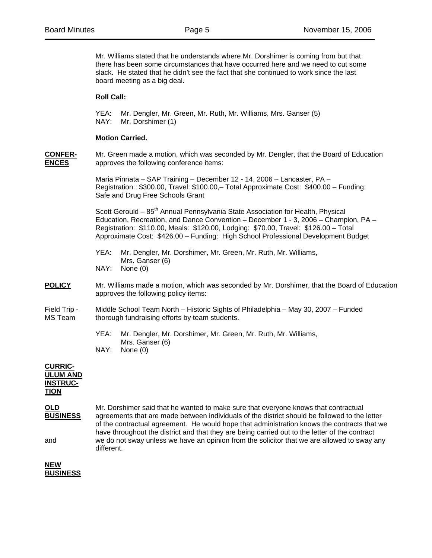Mr. Williams stated that he understands where Mr. Dorshimer is coming from but that there has been some circumstances that have occurred here and we need to cut some slack. He stated that he didn't see the fact that she continued to work since the last board meeting as a big deal.

# **Roll Call:**

 YEA: Mr. Dengler, Mr. Green, Mr. Ruth, Mr. Williams, Mrs. Ganser (5) NAY: Mr. Dorshimer (1)

## **Motion Carried.**

**CONFER-** Mr. Green made a motion, which was seconded by Mr. Dengler, that the Board of Education **ENCES** approves the following conference items:

> Maria Pinnata – SAP Training – December 12 - 14, 2006 – Lancaster, PA – Registration: \$300.00, Travel: \$100.00,– Total Approximate Cost: \$400.00 – Funding: Safe and Drug Free Schools Grant

Scott Gerould –  $85<sup>th</sup>$  Annual Pennsylvania State Association for Health, Physical Education, Recreation, and Dance Convention – December 1 - 3, 2006 – Champion, PA – Registration: \$110.00, Meals: \$120.00, Lodging: \$70.00, Travel: \$126.00 – Total Approximate Cost: \$426.00 – Funding: High School Professional Development Budget

 YEA: Mr. Dengler, Mr. Dorshimer, Mr. Green, Mr. Ruth, Mr. Williams, Mrs. Ganser (6) NAY: None (0)

**POLICY** Mr. Williams made a motion, which was seconded by Mr. Dorshimer, that the Board of Education approves the following policy items:

### Field Trip - Middle School Team North – Historic Sights of Philadelphia – May 30, 2007 – Funded MS Team thorough fundraising efforts by team students.

 YEA: Mr. Dengler, Mr. Dorshimer, Mr. Green, Mr. Ruth, Mr. Williams, Mrs. Ganser (6) NAY: None (0)

#### **CURRIC-ULUM AND INSTRUC-**

# **TION**

**OLD** Mr. Dorshimer said that he wanted to make sure that everyone knows that contractual **BUSINESS** agreements that are made between individuals of the district should be followed to the letter of the contractual agreement. He would hope that administration knows the contracts that we have throughout the district and that they are being carried out to the letter of the contract and we do not sway unless we have an opinion from the solicitor that we are allowed to sway any different.

### **NEW BUSINESS**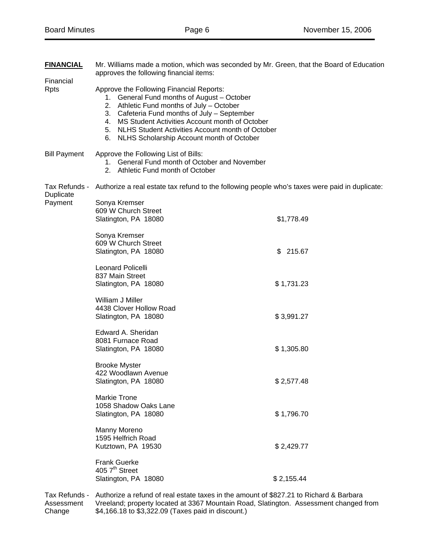| <b>FINANCIAL</b>         | Mr. Williams made a motion, which was seconded by Mr. Green, that the Board of Education<br>approves the following financial items:                                                                                                                                                                                                             |            |  |
|--------------------------|-------------------------------------------------------------------------------------------------------------------------------------------------------------------------------------------------------------------------------------------------------------------------------------------------------------------------------------------------|------------|--|
| Financial<br><b>Rpts</b> | Approve the Following Financial Reports:<br>1. General Fund months of August - October<br>2. Athletic Fund months of July - October<br>3. Cafeteria Fund months of July - September<br>4. MS Student Activities Account month of October<br>5. NLHS Student Activities Account month of October<br>6. NLHS Scholarship Account month of October |            |  |
| <b>Bill Payment</b>      | Approve the Following List of Bills:<br>1. General Fund month of October and November<br>2. Athletic Fund month of October                                                                                                                                                                                                                      |            |  |
| Duplicate                | Tax Refunds - Authorize a real estate tax refund to the following people who's taxes were paid in duplicate:                                                                                                                                                                                                                                    |            |  |
| Payment                  | Sonya Kremser<br>609 W Church Street<br>Slatington, PA 18080                                                                                                                                                                                                                                                                                    | \$1,778.49 |  |
|                          | Sonya Kremser<br>609 W Church Street<br>Slatington, PA 18080                                                                                                                                                                                                                                                                                    | \$215.67   |  |
|                          | <b>Leonard Policelli</b><br>837 Main Street<br>Slatington, PA 18080                                                                                                                                                                                                                                                                             | \$1,731.23 |  |
|                          | William J Miller<br>4438 Clover Hollow Road<br>Slatington, PA 18080                                                                                                                                                                                                                                                                             | \$3,991.27 |  |
|                          | Edward A. Sheridan<br>8081 Furnace Road<br>Slatington, PA 18080                                                                                                                                                                                                                                                                                 | \$1,305.80 |  |
|                          | <b>Brooke Myster</b><br>422 Woodlawn Avenue<br>Slatington, PA 18080                                                                                                                                                                                                                                                                             | \$2,577.48 |  |
|                          | <b>Markie Trone</b><br>1058 Shadow Oaks Lane<br>Slatington, PA 18080                                                                                                                                                                                                                                                                            | \$1,796.70 |  |
|                          | Manny Moreno<br>1595 Helfrich Road<br>Kutztown, PA 19530                                                                                                                                                                                                                                                                                        | \$2,429.77 |  |
|                          | <b>Frank Guerke</b><br>405 7 <sup>th</sup> Street<br>Slatington, PA 18080                                                                                                                                                                                                                                                                       | \$2,155.44 |  |
| Tax Refunds -            | Authorize a refund of real estate taxes in the amount of \$827.21 to Richard & Barbara                                                                                                                                                                                                                                                          |            |  |

Assessment Vreeland; property located at 3367 Mountain Road, Slatington. Assessment changed from Change \$4,166.18 to \$3,322.09 (Taxes paid in discount.)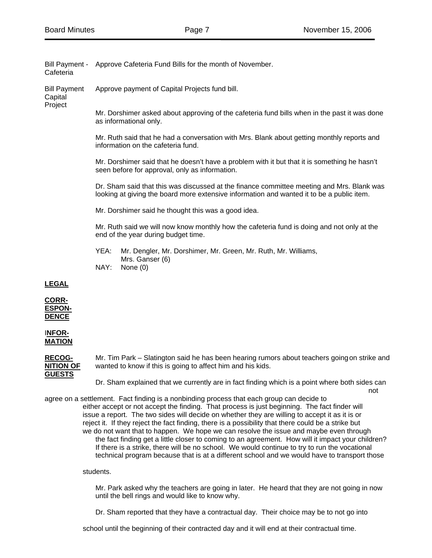Bill Payment - Approve Cafeteria Fund Bills for the month of November. Cafeteria

Bill Payment Approve payment of Capital Projects fund bill.

**Capital** Project

> Mr. Dorshimer asked about approving of the cafeteria fund bills when in the past it was done as informational only.

Mr. Ruth said that he had a conversation with Mrs. Blank about getting monthly reports and information on the cafeteria fund.

Mr. Dorshimer said that he doesn't have a problem with it but that it is something he hasn't seen before for approval, only as information.

Dr. Sham said that this was discussed at the finance committee meeting and Mrs. Blank was looking at giving the board more extensive information and wanted it to be a public item.

Mr. Dorshimer said he thought this was a good idea.

Mr. Ruth said we will now know monthly how the cafeteria fund is doing and not only at the end of the year during budget time.

- YEA: Mr. Dengler, Mr. Dorshimer, Mr. Green, Mr. Ruth, Mr. Williams, Mrs. Ganser (6)
- NAY: None (0)

**LEGAL**

**CORR-ESPON-DENCE**

I**NFOR-MATION** 

RECOG- Mr. Tim Park – Slatington said he has been hearing rumors about teachers going on strike and **NITION OF** wanted to know if this is going to affect him and his kids. wanted to know if this is going to affect him and his kids. **GUESTS**

 Dr. Sham explained that we currently are in fact finding which is a point where both sides can not allow the contract of the contract of the contract of the contract of the contract of the contract of the contract of the contract of the contract of the contract of the contract of the contract of the contract of the

agree on a settlement. Fact finding is a nonbinding process that each group can decide to either accept or not accept the finding. That process is just beginning. The fact finder will issue a report. The two sides will decide on whether they are willing to accept it as it is or reject it. If they reject the fact finding, there is a possibility that there could be a strike but we do not want that to happen. We hope we can resolve the issue and maybe even through the fact finding get a little closer to coming to an agreement. How will it impact your children? If there is a strike, there will be no school. We would continue to try to run the vocational technical program because that is at a different school and we would have to transport those

students.

 Mr. Park asked why the teachers are going in later. He heard that they are not going in now until the bell rings and would like to know why.

Dr. Sham reported that they have a contractual day. Their choice may be to not go into

school until the beginning of their contracted day and it will end at their contractual time.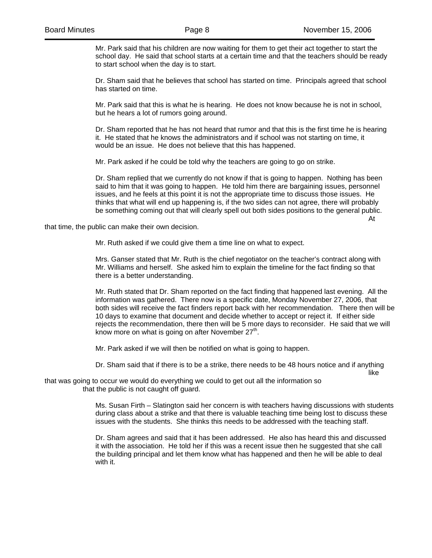Mr. Park said that his children are now waiting for them to get their act together to start the school day. He said that school starts at a certain time and that the teachers should be ready to start school when the day is to start.

 Dr. Sham said that he believes that school has started on time. Principals agreed that school has started on time.

 Mr. Park said that this is what he is hearing. He does not know because he is not in school, but he hears a lot of rumors going around.

 Dr. Sham reported that he has not heard that rumor and that this is the first time he is hearing it. He stated that he knows the administrators and if school was not starting on time, it would be an issue. He does not believe that this has happened.

Mr. Park asked if he could be told why the teachers are going to go on strike.

 Dr. Sham replied that we currently do not know if that is going to happen. Nothing has been said to him that it was going to happen. He told him there are bargaining issues, personnel issues, and he feels at this point it is not the appropriate time to discuss those issues. He thinks that what will end up happening is, if the two sides can not agree, there will probably be something coming out that will clearly spell out both sides positions to the general public. At

that time, the public can make their own decision.

Mr. Ruth asked if we could give them a time line on what to expect.

 Mrs. Ganser stated that Mr. Ruth is the chief negotiator on the teacher's contract along with Mr. Williams and herself. She asked him to explain the timeline for the fact finding so that there is a better understanding.

 Mr. Ruth stated that Dr. Sham reported on the fact finding that happened last evening. All the information was gathered. There now is a specific date, Monday November 27, 2006, that both sides will receive the fact finders report back with her recommendation. There then will be 10 days to examine that document and decide whether to accept or reject it. If either side rejects the recommendation, there then will be 5 more days to reconsider. He said that we will know more on what is going on after November  $27<sup>th</sup>$ .

Mr. Park asked if we will then be notified on what is going to happen.

like the contract of the contract of the contract of the contract of the contract of the contract of the contract of the contract of the contract of the contract of the contract of the contract of the contract of the contr

Dr. Sham said that if there is to be a strike, there needs to be 48 hours notice and if anything

that was going to occur we would do everything we could to get out all the information so that the public is not caught off guard.

> Ms. Susan Firth – Slatington said her concern is with teachers having discussions with students during class about a strike and that there is valuable teaching time being lost to discuss these issues with the students. She thinks this needs to be addressed with the teaching staff.

 Dr. Sham agrees and said that it has been addressed. He also has heard this and discussed it with the association. He told her if this was a recent issue then he suggested that she call the building principal and let them know what has happened and then he will be able to deal with it.